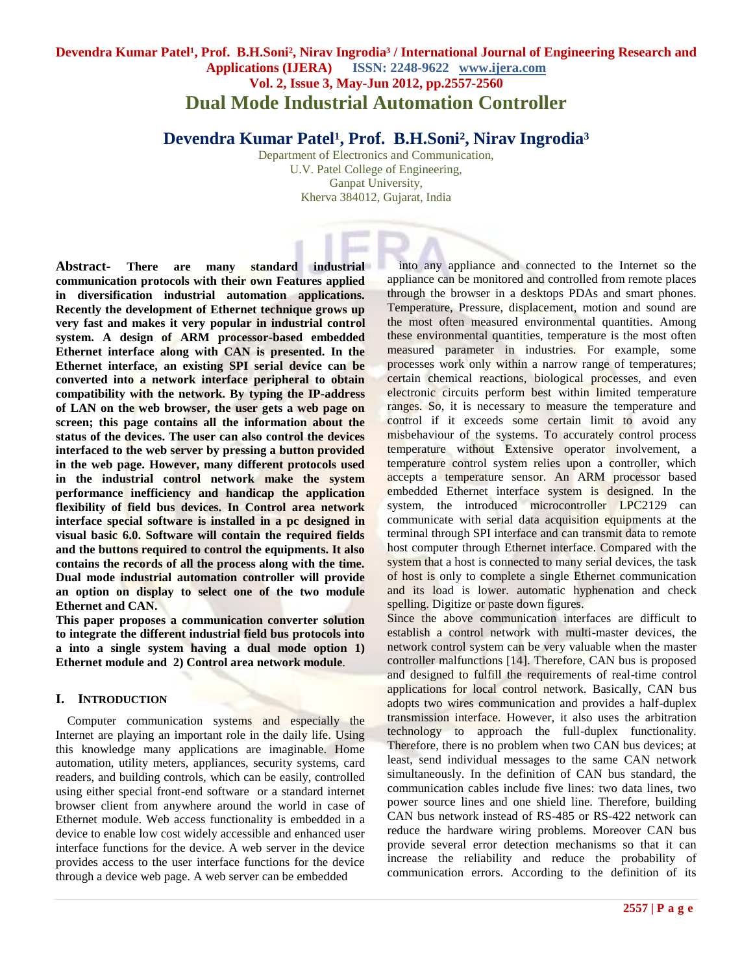# **Devendra Kumar Patel<sup>1</sup>, Prof. B.H.Soni<sup>2</sup>, Nirav Ingrodia<sup>3</sup> / International Journal of Engineering Research and Applications (IJERA) ISSN: 2248-9622 www.ijera.com Vol. 2, Issue 3, May-Jun 2012, pp.2557-2560 Dual Mode Industrial Automation Controller**

Devendra Kumar Patel<sup>1</sup>, Prof. B.H.Soni<sup>2</sup>, Nirav Ingrodia<sup>3</sup>

Department of Electronics and Communication, U.V. Patel College of Engineering, Ganpat University, Kherva 384012, Gujarat, India

**Abstract- There are many standard industrial communication protocols with their own Features applied in diversification industrial automation applications. Recently the development of Ethernet technique grows up very fast and makes it very popular in industrial control system. A design of ARM processor-based embedded Ethernet interface along with CAN is presented. In the Ethernet interface, an existing SPI serial device can be converted into a network interface peripheral to obtain compatibility with the network. By typing the IP-address of LAN on the web browser, the user gets a web page on screen; this page contains all the information about the status of the devices. The user can also control the devices interfaced to the web server by pressing a button provided in the web page. However, many different protocols used in the industrial control network make the system performance inefficiency and handicap the application flexibility of field bus devices. In Control area network interface special software is installed in a pc designed in visual basic 6.0. Software will contain the required fields and the buttons required to control the equipments. It also contains the records of all the process along with the time. Dual mode industrial automation controller will provide an option on display to select one of the two module Ethernet and CAN.** 

**This paper proposes a communication converter solution to integrate the different industrial field bus protocols into a into a single system having a dual mode option 1) Ethernet module and 2) Control area network module***.*

## **I. INTRODUCTION**

Computer communication systems and especially the Internet are playing an important role in the daily life. Using this knowledge many applications are imaginable. Home automation, utility meters, appliances, security systems, card readers, and building controls, which can be easily, controlled using either special front-end software or a standard internet browser client from anywhere around the world in case of Ethernet module. Web access functionality is embedded in a device to enable low cost widely accessible and enhanced user interface functions for the device. A web server in the device provides access to the user interface functions for the device through a device web page. A web server can be embedded

into any appliance and connected to the Internet so the appliance can be monitored and controlled from remote places through the browser in a desktops PDAs and smart phones. Temperature, Pressure, displacement, motion and sound are the most often measured environmental quantities. Among these environmental quantities, temperature is the most often measured parameter in industries. For example, some processes work only within a narrow range of temperatures; certain chemical reactions, biological processes, and even electronic circuits perform best within limited temperature ranges. So, it is necessary to measure the temperature and control if it exceeds some certain limit to avoid any misbehaviour of the systems. To accurately control process temperature without Extensive operator involvement, a temperature control system relies upon a controller, which accepts a temperature sensor. An ARM processor based embedded Ethernet interface system is designed. In the system, the introduced microcontroller LPC2129 can communicate with serial data acquisition equipments at the terminal through SPI interface and can transmit data to remote host computer through Ethernet interface. Compared with the system that a host is connected to many serial devices, the task of host is only to complete a single Ethernet communication and its load is lower. automatic hyphenation and check spelling. Digitize or paste down figures.

Since the above communication interfaces are difficult to establish a control network with multi-master devices, the network control system can be very valuable when the master controller malfunctions [14]. Therefore, CAN bus is proposed and designed to fulfill the requirements of real-time control applications for local control network. Basically, CAN bus adopts two wires communication and provides a half-duplex transmission interface. However, it also uses the arbitration technology to approach the full-duplex functionality. Therefore, there is no problem when two CAN bus devices; at least, send individual messages to the same CAN network simultaneously. In the definition of CAN bus standard, the communication cables include five lines: two data lines, two power source lines and one shield line. Therefore, building CAN bus network instead of RS-485 or RS-422 network can reduce the hardware wiring problems. Moreover CAN bus provide several error detection mechanisms so that it can increase the reliability and reduce the probability of communication errors. According to the definition of its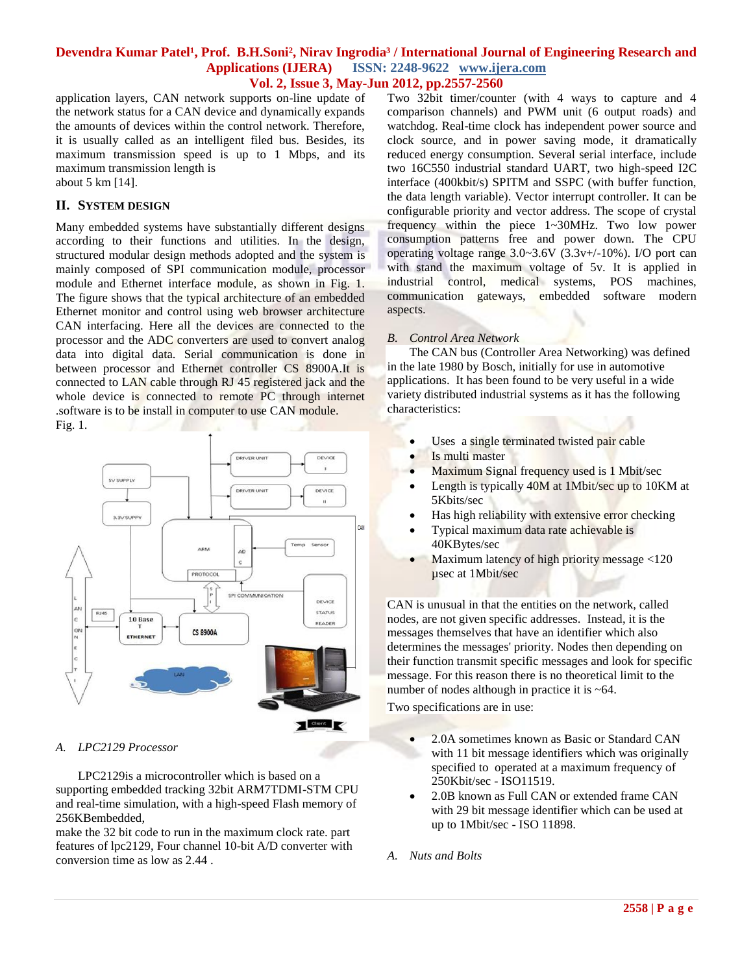### **Devendra Kumar Patel<sup>1</sup>, Prof. B.H.Soni<sup>2</sup>, Nirav Ingrodia<sup>3</sup> / International Journal of Engineering Research and Applications (IJERA) ISSN: 2248-9622 www.ijera.com Vol. 2, Issue 3, May-Jun 2012, pp.2557-2560**

application layers, CAN network supports on-line update of the network status for a CAN device and dynamically expands the amounts of devices within the control network. Therefore, it is usually called as an intelligent filed bus. Besides, its maximum transmission speed is up to 1 Mbps, and its maximum transmission length is

about 5 km [14].

### **II. SYSTEM DESIGN**

Many embedded systems have substantially different designs according to their functions and utilities. In the design, structured modular design methods adopted and the system is mainly composed of SPI communication module, processor module and Ethernet interface module, as shown in Fig. 1. The figure shows that the typical architecture of an embedded Ethernet monitor and control using web browser architecture CAN interfacing. Here all the devices are connected to the processor and the ADC converters are used to convert analog data into digital data. Serial communication is done in between processor and Ethernet controller CS 8900A.It is connected to LAN cable through RJ 45 registered jack and the whole device is connected to remote PC through internet .software is to be install in computer to use CAN module. Fig. 1.



### *A. LPC2129 Processor*

LPC2129is a microcontroller which is based on a supporting embedded tracking 32bit ARM7TDMI-STM CPU and real-time simulation, with a high-speed Flash memory of 256KBembedded,

make the 32 bit code to run in the maximum clock rate. part features of lpc2129, Four channel 10-bit A/D converter with conversion time as low as 2.44 .

Two 32bit timer/counter (with 4 ways to capture and 4 comparison channels) and PWM unit (6 output roads) and watchdog. Real-time clock has independent power source and clock source, and in power saving mode, it dramatically reduced energy consumption. Several serial interface, include two 16C550 industrial standard UART, two high-speed I2C interface (400kbit/s) SPITM and SSPC (with buffer function, the data length variable). Vector interrupt controller. It can be configurable priority and vector address. The scope of crystal frequency within the piece 1~30MHz. Two low power consumption patterns free and power down. The CPU operating voltage range 3.0~3.6V (3.3v+/-10%). I/O port can with stand the maximum voltage of 5v. It is applied in industrial control, medical systems, POS machines, communication gateways, embedded software modern aspects.

### *B. Control Area Network*

The CAN bus (Controller Area Networking) was defined in the late 1980 by Bosch, initially for use in automotive applications. It has been found to be very useful in a wide variety distributed industrial systems as it has the following characteristics:

- Uses a single terminated twisted pair cable
- Is multi master
- Maximum Signal frequency used is 1 Mbit/sec
- Length is typically 40M at 1Mbit/sec up to 10KM at 5Kbits/sec
- Has high reliability with extensive error checking
- Typical maximum data rate achievable is 40KBytes/sec
- Maximum latency of high priority message <120 µsec at 1Mbit/sec

CAN is unusual in that the entities on the network, called nodes, are not given specific addresses. Instead, it is the messages themselves that have an identifier which also determines the messages' priority. Nodes then depending on their function transmit specific messages and look for specific message. For this reason there is no theoretical limit to the number of nodes although in practice it is ~64.

Two specifications are in use:

- 2.0A sometimes known as Basic or Standard CAN with 11 bit message identifiers which was originally specified to operated at a maximum frequency of 250Kbit/sec - ISO11519.
- 2.0B known as Full CAN or extended frame CAN with 29 bit message identifier which can be used at up to 1Mbit/sec - ISO 11898.
- *A. Nuts and Bolts*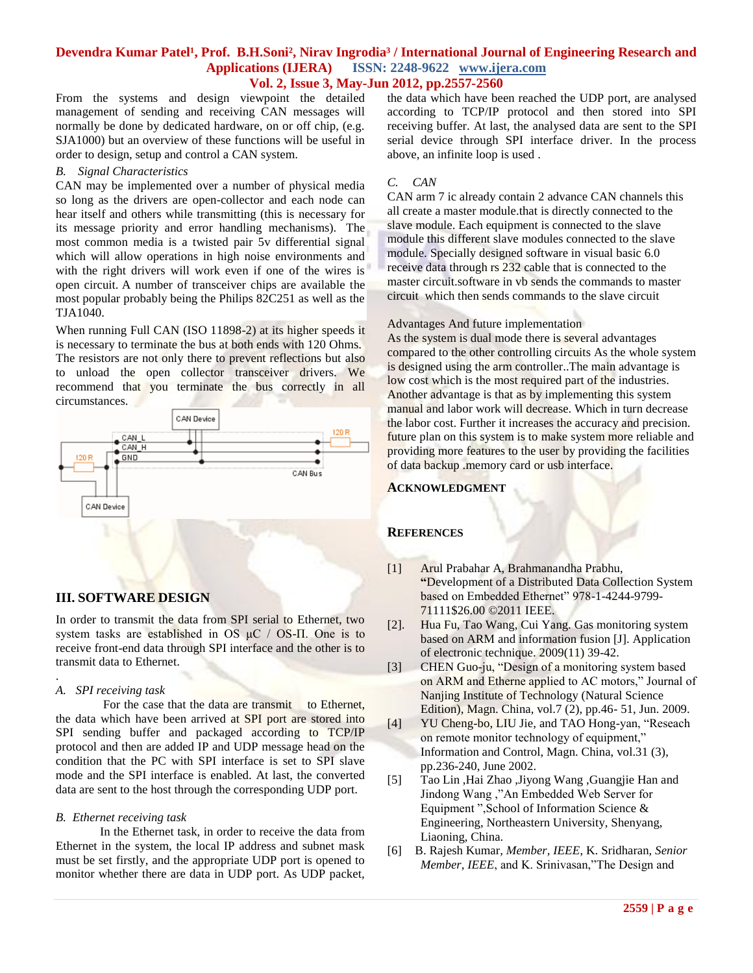### **Devendra Kumar Patel<sup>1</sup>, Prof. B.H.Soni<sup>2</sup>, Nirav Ingrodia<sup>3</sup> / International Journal of Engineering Research and Applications (IJERA) ISSN: 2248-9622 www.ijera.com Vol. 2, Issue 3, May-Jun 2012, pp.2557-2560**

From the systems and design viewpoint the detailed management of sending and receiving CAN messages will normally be done by dedicated hardware, on or off chip, (e.g. SJA1000) but an overview of these functions will be useful in order to design, setup and control a CAN system.

#### *B. Signal Characteristics*

CAN may be implemented over a number of physical media so long as the drivers are open-collector and each node can hear itself and others while transmitting (this is necessary for its message priority and error handling mechanisms). The most common media is a twisted pair 5v differential signal which will allow operations in high noise environments and with the right drivers will work even if one of the wires is open circuit. A number of transceiver chips are available the most popular probably being the Philips 82C251 as well as the TJA1040.

When running Full CAN (ISO 11898-2) at its higher speeds it is necessary to terminate the bus at both ends with 120 Ohms. The resistors are not only there to prevent reflections but also to unload the open collector transceiver drivers. We recommend that you terminate the bus correctly in all circumstances.



## **III. SOFTWARE DESIGN**

In order to transmit the data from SPI serial to Ethernet, two system tasks are established in OS  $\mu$ C / OS-II. One is to receive front-end data through SPI interface and the other is to transmit data to Ethernet.

### *A. SPI receiving task*

.

For the case that the data are transmit to Ethernet, the data which have been arrived at SPI port are stored into SPI sending buffer and packaged according to TCP/IP protocol and then are added IP and UDP message head on the condition that the PC with SPI interface is set to SPI slave mode and the SPI interface is enabled. At last, the converted data are sent to the host through the corresponding UDP port.

### *B. Ethernet receiving task*

In the Ethernet task, in order to receive the data from Ethernet in the system, the local IP address and subnet mask must be set firstly, and the appropriate UDP port is opened to monitor whether there are data in UDP port. As UDP packet,

the data which have been reached the UDP port, are analysed according to TCP/IP protocol and then stored into SPI receiving buffer. At last, the analysed data are sent to the SPI serial device through SPI interface driver. In the process above, an infinite loop is used .

### *C. CAN*

CAN arm 7 ic already contain 2 advance CAN channels this all create a master module.that is directly connected to the slave module. Each equipment is connected to the slave module this different slave modules connected to the slave module. Specially designed software in visual basic 6.0 receive data through rs 232 cable that is connected to the master circuit.software in vb sends the commands to master circuit which then sends commands to the slave circuit

#### Advantages And future implementation

As the system is dual mode there is several advantages compared to the other controlling circuits As the whole system is designed using the arm controller..The main advantage is low cost which is the most required part of the industries. Another advantage is that as by implementing this system manual and labor work will decrease. Which in turn decrease the labor cost. Further it increases the accuracy and precision. future plan on this system is to make system more reliable and providing more features to the user by providing the facilities of data backup .memory card or usb interface.

### **ACKNOWLEDGMENT**

## **REFERENCES**

- [1] Arul Prabahar A, Brahmanandha Prabhu, **"**Development of a Distributed Data Collection System based on Embedded Ethernet" 978-1-4244-9799- 71111\$26.00 ©2011 IEEE.
- [2]. Hua Fu, Tao Wang, Cui Yang. Gas monitoring system based on ARM and information fusion [J]. Application of electronic technique. 2009(11) 39-42.
- [3] CHEN Guo-ju, "Design of a monitoring system based on ARM and Etherne applied to AC motors," Journal of Nanjing Institute of Technology (Natural Science Edition), Magn. China, vol.7 (2), pp.46- 51, Jun. 2009.
- [4] YU Cheng-bo, LIU Jie, and TAO Hong-yan, "Reseach on remote monitor technology of equipment," Information and Control, Magn. China, vol.31 (3), pp.236-240, June 2002.
- [5] Tao Lin ,Hai Zhao ,Jiyong Wang ,Guangjie Han and Jindong Wang ,"An Embedded Web Server for Equipment ",School of Information Science & Engineering, Northeastern University, Shenyang, Liaoning, China.
- [6] B. Rajesh Kumar*, Member, IEEE*, K. Sridharan*, Senior Member, IEEE*, and K. Srinivasan,"The Design and